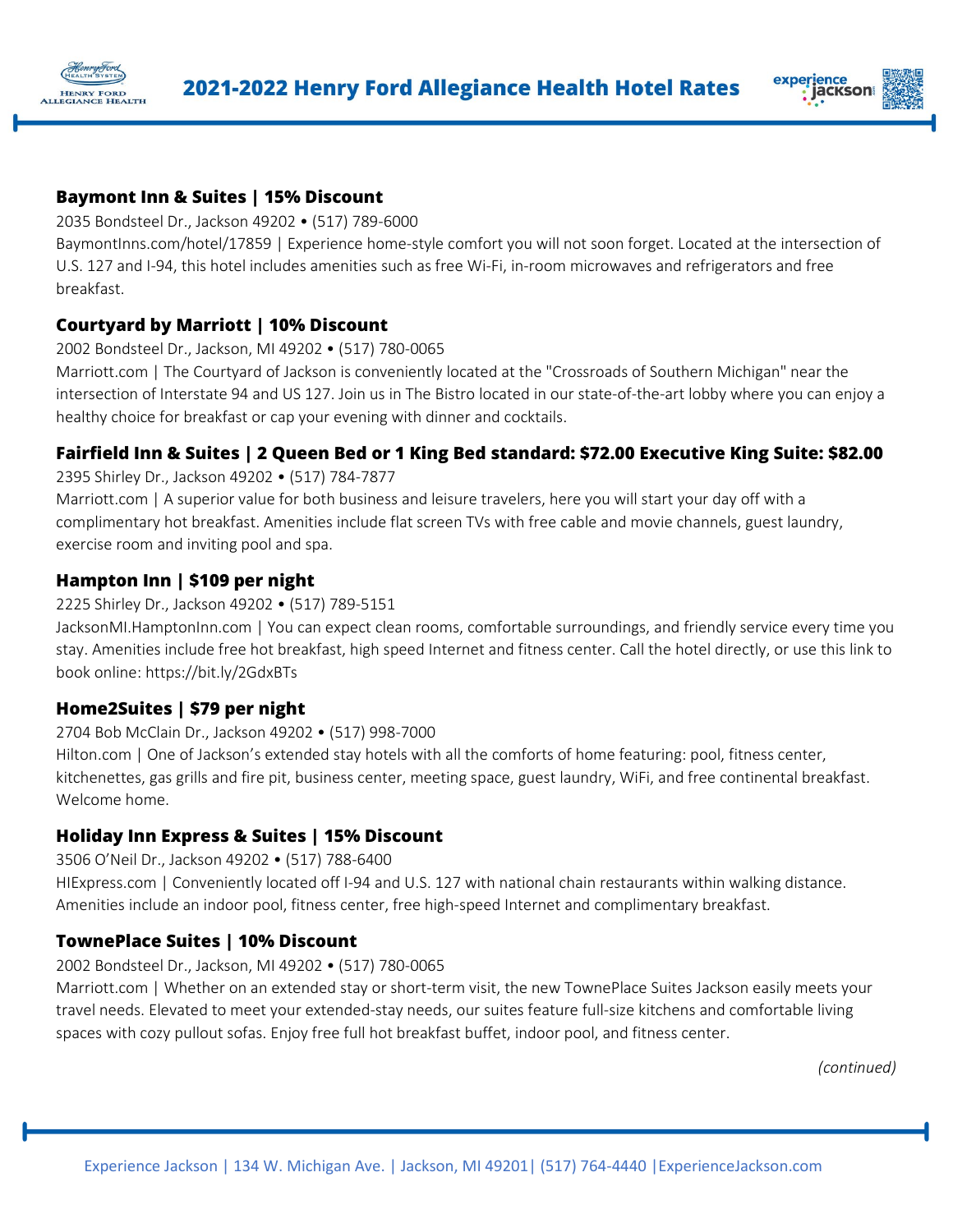



#### **Baymont Inn & Suites | 15% Discount**

2035 Bondsteel Dr., Jackson 49202 • (517) 789-6000

BaymontInns.com/hotel/17859 | Experience home-style comfort you will not soon forget. Located at the intersection of U.S. 127 and I-94, this hotel includes amenities such as free Wi-Fi, in-room microwaves and refrigerators and free breakfast.

## **Courtyard by Marriott | 10% Discount**

2002 Bondsteel Dr., Jackson, MI 49202 • (517) 780-0065

Marriott.com | The Courtyard of Jackson is conveniently located at the "Crossroads of Southern Michigan" near the intersection of Interstate 94 and US 127. Join us in The Bistro located in our state-of-the-art lobby where you can enjoy a healthy choice for breakfast or cap your evening with dinner and cocktails.

# **Fairfield Inn & Suites | 2 Queen Bed or 1 King Bed standard: \$72.00 Executive King Suite: \$82.00**

2395 Shirley Dr., Jackson 49202 • (517) 784-7877

Marriott.com | A superior value for both business and leisure travelers, here you will start your day off with a complimentary hot breakfast. Amenities include flat screen TVs with free cable and movie channels, guest laundry, exercise room and inviting pool and spa.

## **Hampton Inn | \$109 per night**

2225 Shirley Dr., Jackson 49202 • (517) 789-5151

JacksonMI.HamptonInn.com | You can expect clean rooms, comfortable surroundings, and friendly service every time you stay. Amenities include free hot breakfast, high speed Internet and fitness center. Call the hotel directly, or use this link to book online: https://bit.ly/2GdxBTs

## **Home2Suites | \$79 per night**

2704 Bob McClain Dr., Jackson 49202 • (517) 998-7000

Hilton.com | One of Jackson's extended stay hotels with all the comforts of home featuring: pool, fitness center, kitchenettes, gas grills and fire pit, business center, meeting space, guest laundry, WiFi, and free continental breakfast. Welcome home.

#### **Holiday Inn Express & Suites | 15% Discount**

3506 O'Neil Dr., Jackson 49202 • (517) 788-6400

HIExpress.com | Conveniently located off I-94 and U.S. 127 with national chain restaurants within walking distance. Amenities include an indoor pool, fitness center, free high-speed Internet and complimentary breakfast.

## **TownePlace Suites | 10% Discount**

#### 2002 Bondsteel Dr., Jackson, MI 49202 • (517) 780-0065

Marriott.com | Whether on an extended stay or short-term visit, the new TownePlace Suites Jackson easily meets your travel needs. Elevated to meet your extended-stay needs, our suites feature full-size kitchens and comfortable living spaces with cozy pullout sofas. Enjoy free full hot breakfast buffet, indoor pool, and fitness center.

*(continued)*